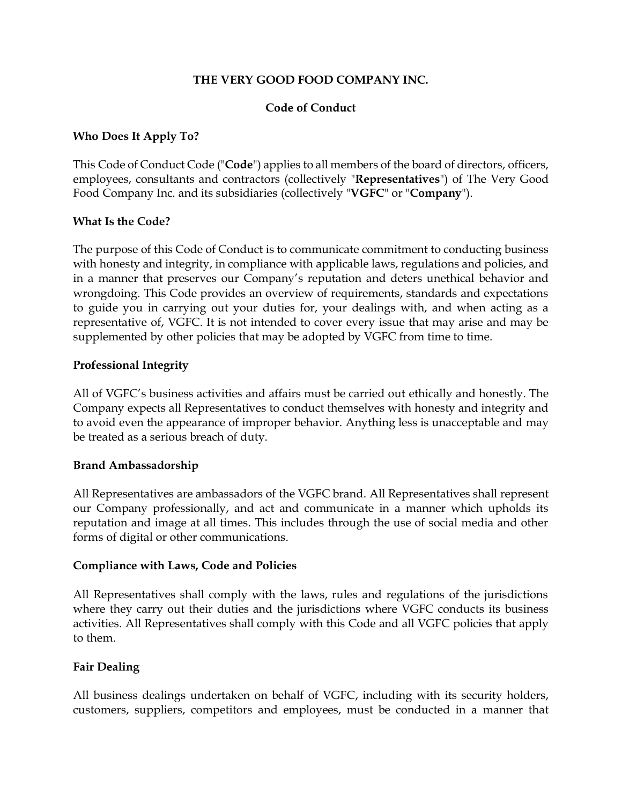#### **THE VERY GOOD FOOD COMPANY INC.**

### **Code of Conduct**

### **Who Does It Apply To?**

This Code of Conduct Code ("**Code**") applies to all members of the board of directors, officers, employees, consultants and contractors (collectively "**Representatives**") of The Very Good Food Company Inc. and its subsidiaries (collectively "**VGFC**" or "**Company**").

#### **What Is the Code?**

The purpose of this Code of Conduct is to communicate commitment to conducting business with honesty and integrity, in compliance with applicable laws, regulations and policies, and in a manner that preserves our Company's reputation and deters unethical behavior and wrongdoing. This Code provides an overview of requirements, standards and expectations to guide you in carrying out your duties for, your dealings with, and when acting as a representative of, VGFC. It is not intended to cover every issue that may arise and may be supplemented by other policies that may be adopted by VGFC from time to time.

#### **Professional Integrity**

All of VGFC's business activities and affairs must be carried out ethically and honestly. The Company expects all Representatives to conduct themselves with honesty and integrity and to avoid even the appearance of improper behavior. Anything less is unacceptable and may be treated as a serious breach of duty.

#### **Brand Ambassadorship**

All Representatives are ambassadors of the VGFC brand. All Representatives shall represent our Company professionally, and act and communicate in a manner which upholds its reputation and image at all times. This includes through the use of social media and other forms of digital or other communications.

#### **Compliance with Laws, Code and Policies**

All Representatives shall comply with the laws, rules and regulations of the jurisdictions where they carry out their duties and the jurisdictions where VGFC conducts its business activities. All Representatives shall comply with this Code and all VGFC policies that apply to them.

## **Fair Dealing**

All business dealings undertaken on behalf of VGFC, including with its security holders, customers, suppliers, competitors and employees, must be conducted in a manner that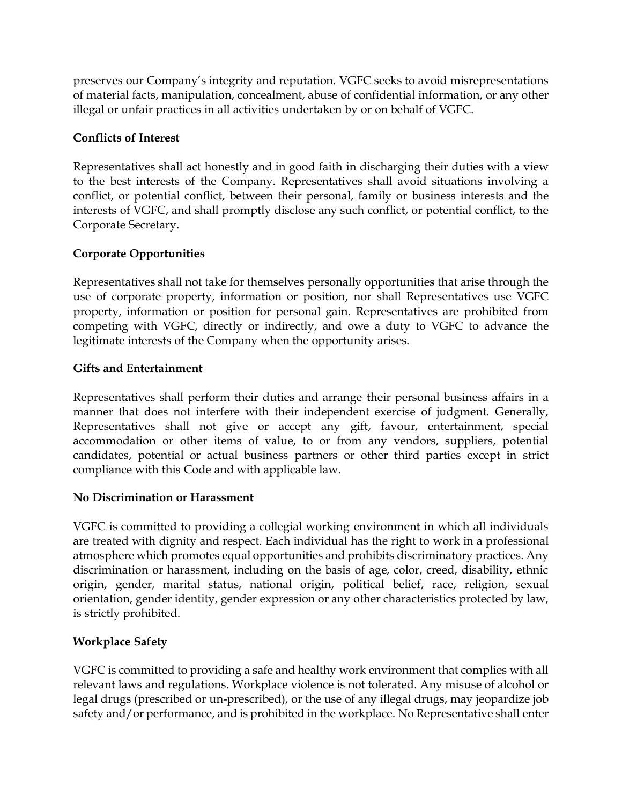preserves our Company's integrity and reputation. VGFC seeks to avoid misrepresentations of material facts, manipulation, concealment, abuse of confidential information, or any other illegal or unfair practices in all activities undertaken by or on behalf of VGFC.

# **Conflicts of Interest**

Representatives shall act honestly and in good faith in discharging their duties with a view to the best interests of the Company. Representatives shall avoid situations involving a conflict, or potential conflict, between their personal, family or business interests and the interests of VGFC, and shall promptly disclose any such conflict, or potential conflict, to the Corporate Secretary.

# **Corporate Opportunities**

Representatives shall not take for themselves personally opportunities that arise through the use of corporate property, information or position, nor shall Representatives use VGFC property, information or position for personal gain. Representatives are prohibited from competing with VGFC, directly or indirectly, and owe a duty to VGFC to advance the legitimate interests of the Company when the opportunity arises.

# **Gifts and Entertainment**

Representatives shall perform their duties and arrange their personal business affairs in a manner that does not interfere with their independent exercise of judgment. Generally, Representatives shall not give or accept any gift, favour, entertainment, special accommodation or other items of value, to or from any vendors, suppliers, potential candidates, potential or actual business partners or other third parties except in strict compliance with this Code and with applicable law.

## **No Discrimination or Harassment**

VGFC is committed to providing a collegial working environment in which all individuals are treated with dignity and respect. Each individual has the right to work in a professional atmosphere which promotes equal opportunities and prohibits discriminatory practices. Any discrimination or harassment, including on the basis of age, color, creed, disability, ethnic origin, gender, marital status, national origin, political belief, race, religion, sexual orientation, gender identity, gender expression or any other characteristics protected by law, is strictly prohibited.

## **Workplace Safety**

VGFC is committed to providing a safe and healthy work environment that complies with all relevant laws and regulations. Workplace violence is not tolerated. Any misuse of alcohol or legal drugs (prescribed or un-prescribed), or the use of any illegal drugs, may jeopardize job safety and/or performance, and is prohibited in the workplace. No Representative shall enter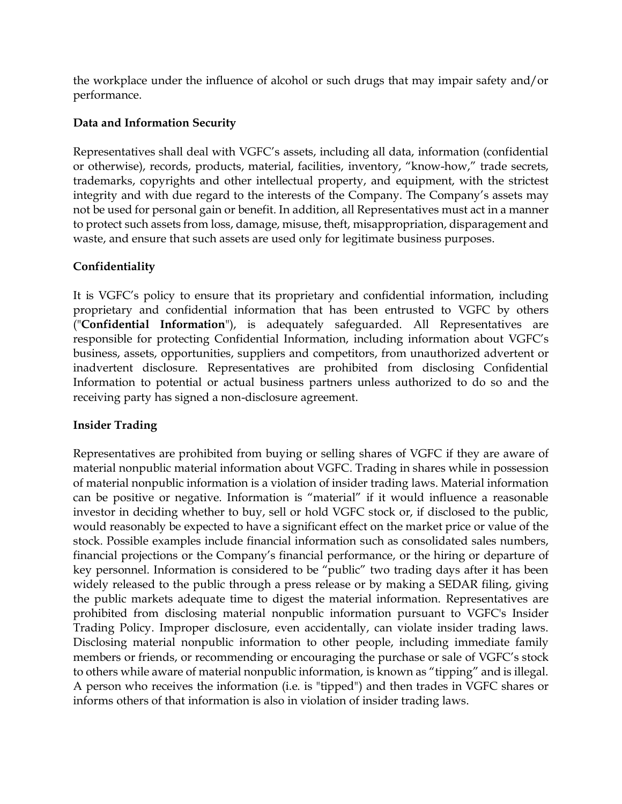the workplace under the influence of alcohol or such drugs that may impair safety and/or performance.

# **Data and Information Security**

Representatives shall deal with VGFC's assets, including all data, information (confidential or otherwise), records, products, material, facilities, inventory, "know-how," trade secrets, trademarks, copyrights and other intellectual property, and equipment, with the strictest integrity and with due regard to the interests of the Company. The Company's assets may not be used for personal gain or benefit. In addition, all Representatives must act in a manner to protect such assets from loss, damage, misuse, theft, misappropriation, disparagement and waste, and ensure that such assets are used only for legitimate business purposes.

# **Confidentiality**

It is VGFC's policy to ensure that its proprietary and confidential information, including proprietary and confidential information that has been entrusted to VGFC by others ("**Confidential Information**"), is adequately safeguarded. All Representatives are responsible for protecting Confidential Information, including information about VGFC's business, assets, opportunities, suppliers and competitors, from unauthorized advertent or inadvertent disclosure. Representatives are prohibited from disclosing Confidential Information to potential or actual business partners unless authorized to do so and the receiving party has signed a non-disclosure agreement.

# **Insider Trading**

Representatives are prohibited from buying or selling shares of VGFC if they are aware of material nonpublic material information about VGFC. Trading in shares while in possession of material nonpublic information is a violation of insider trading laws. Material information can be positive or negative. Information is "material" if it would influence a reasonable investor in deciding whether to buy, sell or hold VGFC stock or, if disclosed to the public, would reasonably be expected to have a significant effect on the market price or value of the stock. Possible examples include financial information such as consolidated sales numbers, financial projections or the Company's financial performance, or the hiring or departure of key personnel. Information is considered to be "public" two trading days after it has been widely released to the public through a press release or by making a SEDAR filing, giving the public markets adequate time to digest the material information. Representatives are prohibited from disclosing material nonpublic information pursuant to VGFC's Insider Trading Policy. Improper disclosure, even accidentally, can violate insider trading laws. Disclosing material nonpublic information to other people, including immediate family members or friends, or recommending or encouraging the purchase or sale of VGFC's stock to others while aware of material nonpublic information, is known as "tipping" and is illegal. A person who receives the information (i.e. is "tipped") and then trades in VGFC shares or informs others of that information is also in violation of insider trading laws.